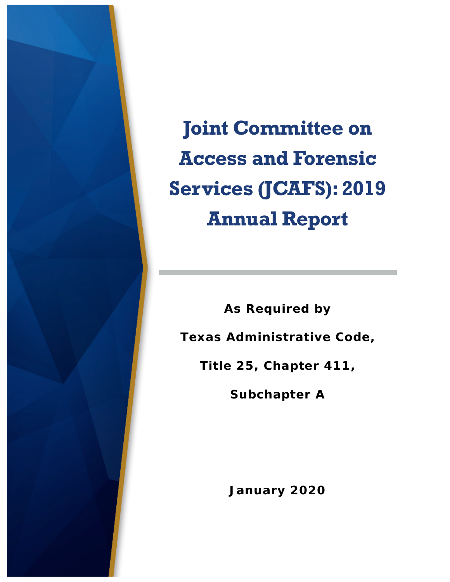

**Joint Committee on Access and Forensic Services (JCAFS): 2019 Annual Report**

**As Required by Texas Administrative Code, Title 25, Chapter 411,** 

**Subchapter A**

**January 2020**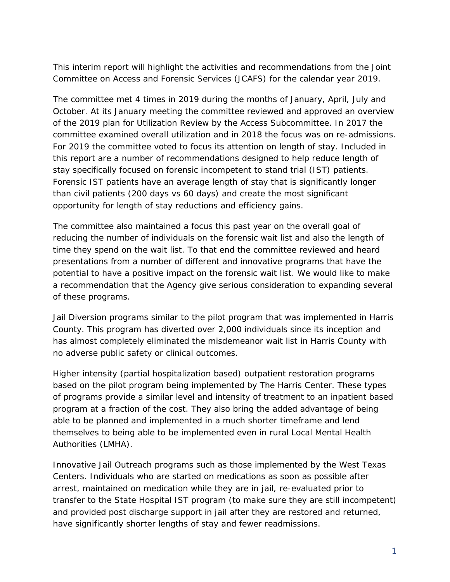This interim report will highlight the activities and recommendations from the Joint Committee on Access and Forensic Services (JCAFS) for the calendar year 2019.

The committee met 4 times in 2019 during the months of January, April, July and October. At its January meeting the committee reviewed and approved an overview of the 2019 plan for Utilization Review by the Access Subcommittee. In 2017 the committee examined overall utilization and in 2018 the focus was on re-admissions. For 2019 the committee voted to focus its attention on length of stay. Included in this report are a number of recommendations designed to help reduce length of stay specifically focused on forensic incompetent to stand trial (IST) patients. Forensic IST patients have an average length of stay that is significantly longer than civil patients (200 days vs 60 days) and create the most significant opportunity for length of stay reductions and efficiency gains.

The committee also maintained a focus this past year on the overall goal of reducing the number of individuals on the forensic wait list and also the length of time they spend on the wait list. To that end the committee reviewed and heard presentations from a number of different and innovative programs that have the potential to have a positive impact on the forensic wait list. We would like to make a recommendation that the Agency give serious consideration to expanding several of these programs.

Jail Diversion programs similar to the pilot program that was implemented in Harris County. This program has diverted over 2,000 individuals since its inception and has almost completely eliminated the misdemeanor wait list in Harris County with no adverse public safety or clinical outcomes.

Higher intensity (partial hospitalization based) outpatient restoration programs based on the pilot program being implemented by The Harris Center. These types of programs provide a similar level and intensity of treatment to an inpatient based program at a fraction of the cost. They also bring the added advantage of being able to be planned and implemented in a much shorter timeframe and lend themselves to being able to be implemented even in rural Local Mental Health Authorities (LMHA).

Innovative Jail Outreach programs such as those implemented by the West Texas Centers. Individuals who are started on medications as soon as possible after arrest, maintained on medication while they are in jail, re-evaluated prior to transfer to the State Hospital IST program (to make sure they are still incompetent) and provided post discharge support in jail after they are restored and returned, have significantly shorter lengths of stay and fewer readmissions.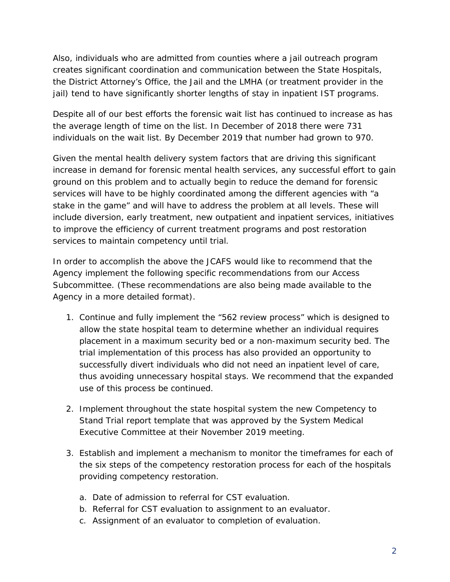Also, individuals who are admitted from counties where a jail outreach program creates significant coordination and communication between the State Hospitals, the District Attorney's Office, the Jail and the LMHA (or treatment provider in the jail) tend to have significantly shorter lengths of stay in inpatient IST programs.

Despite all of our best efforts the forensic wait list has continued to increase as has the average length of time on the list. In December of 2018 there were 731 individuals on the wait list. By December 2019 that number had grown to 970.

Given the mental health delivery system factors that are driving this significant increase in demand for forensic mental health services, any successful effort to gain ground on this problem and to actually begin to reduce the demand for forensic services will have to be highly coordinated among the different agencies with "a stake in the game" and will have to address the problem at all levels. These will include diversion, early treatment, new outpatient and inpatient services, initiatives to improve the efficiency of current treatment programs and post restoration services to maintain competency until trial.

In order to accomplish the above the JCAFS would like to recommend that the Agency implement the following specific recommendations from our Access Subcommittee. (These recommendations are also being made available to the Agency in a more detailed format).

- 1. Continue and fully implement the "562 review process" which is designed to allow the state hospital team to determine whether an individual requires placement in a maximum security bed or a non-maximum security bed. The trial implementation of this process has also provided an opportunity to successfully divert individuals who did not need an inpatient level of care, thus avoiding unnecessary hospital stays. We recommend that the expanded use of this process be continued.
- 2. Implement throughout the state hospital system the new Competency to Stand Trial report template that was approved by the System Medical Executive Committee at their November 2019 meeting.
- 3. Establish and implement a mechanism to monitor the timeframes for each of the six steps of the competency restoration process for each of the hospitals providing competency restoration.
	- a. Date of admission to referral for CST evaluation.
	- b. Referral for CST evaluation to assignment to an evaluator.
	- c. Assignment of an evaluator to completion of evaluation.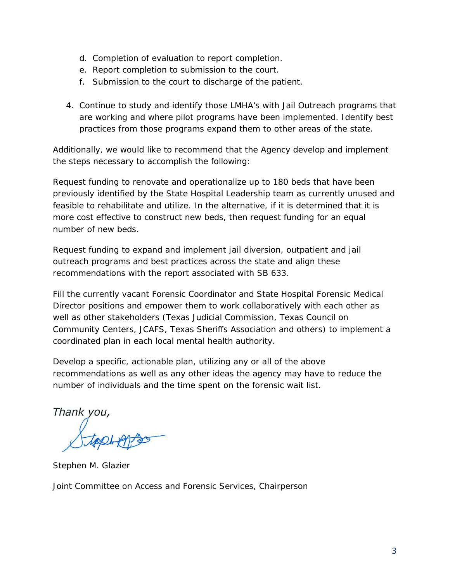- d. Completion of evaluation to report completion.
- e. Report completion to submission to the court.
- f. Submission to the court to discharge of the patient.
- 4. Continue to study and identify those LMHA's with Jail Outreach programs that are working and where pilot programs have been implemented. Identify best practices from those programs expand them to other areas of the state.

Additionally, we would like to recommend that the Agency develop and implement the steps necessary to accomplish the following:

Request funding to renovate and operationalize up to 180 beds that have been previously identified by the State Hospital Leadership team as currently unused and feasible to rehabilitate and utilize. In the alternative, if it is determined that it is more cost effective to construct new beds, then request funding for an equal number of new beds.

Request funding to expand and implement jail diversion, outpatient and jail outreach programs and best practices across the state and align these recommendations with the report associated with SB 633.

Fill the currently vacant Forensic Coordinator and State Hospital Forensic Medical Director positions and empower them to work collaboratively with each other as well as other stakeholders (Texas Judicial Commission, Texas Council on Community Centers, JCAFS, Texas Sheriffs Association and others) to implement a coordinated plan in each local mental health authority.

Develop a specific, actionable plan, utilizing any or all of the above recommendations as well as any other ideas the agency may have to reduce the number of individuals and the time spent on the forensic wait list.

Thank you,

*Stephen M. Glazier*

*Joint Committee on Access and Forensic Services, Chairperson*